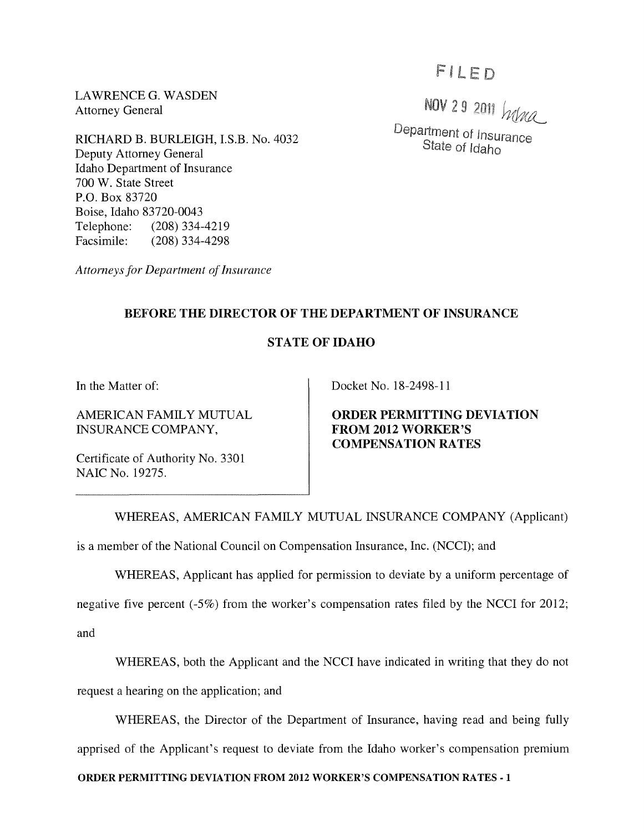LAWRENCE G. WASDEN Attorney General

NOV 29 2011 Were Department of Insurance State of Idaho

RICHARD B. BURLEIGH, LS.B. No. 4032 Deputy Attorney General Idaho Department of Insurance 700 W. State Street P.O. Box 83720 Boise, Idaho 83720-0043 Telephone: (208) 334-4219 Facsimile: (208) 334-4298

*Attorneys for Department of Insurance* 

## **BEFORE THE DIRECTOR OF THE DEPARTMENT OF INSURANCE**

## **STATE OF IDAHO**

**In** the Matter of:

AMERICAN FAMILY MUTUAL INSURANCE COMPANY,

Docket No. 18-2498-11

**ORDER PERMITTING DEVIATION FROM 2012 WORKER'S COMPENSATION RATES** 

Certificate of Authority No. 3301 NAIC No. 19275.

WHEREAS, AMERICAN FAMILY MUTUAL INSURANCE COMPANY (Applicant)

is a member of the National Council on Compensation Insurance, Inc. (NCCI); and

WHEREAS, Applicant has applied for permission to deviate by a uniform percentage of

negative five percent (-5%) from the worker's compensation rates filed by the NCCI for 2012; and

WHEREAS, both the Applicant and the NCCI have indicated in writing that they do not request a hearing on the application; and

WHEREAS, the Director of the Department of Insurance, having read and being fully apprised of the Applicant's request to deviate from the Idaho worker's compensation premium

**ORDER PERMITTING DEVIATION FROM 2012 WORKER'S COMPENSATION RATES-l**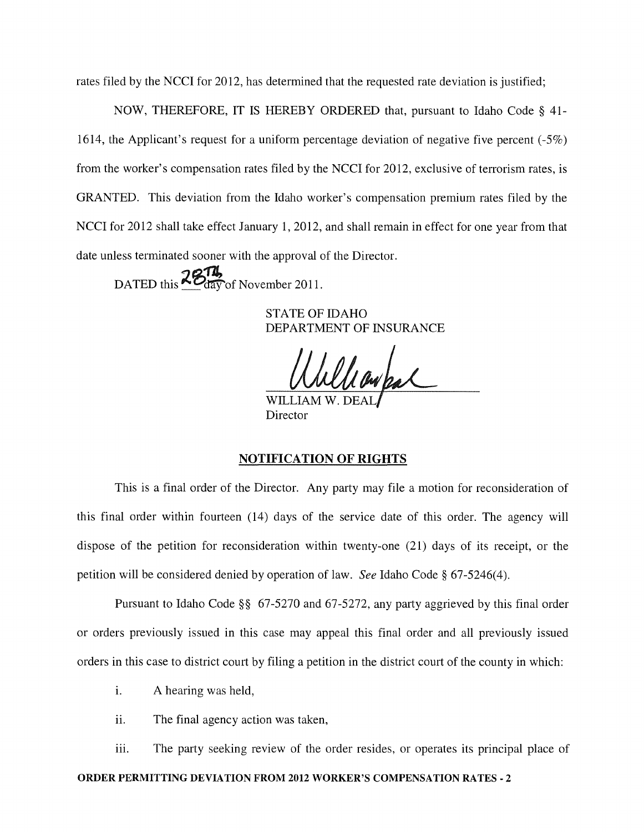rates filed by the NCCI for 2012, has determined that the requested rate deviation is justified;

NOW, THEREFORE, IT IS HEREBY ORDERED that, pursuant to Idaho Code § 41- 1614, the Applicant's request for a uniform percentage deviation of negative five percent (-5%) from the worker's compensation rates filed by the NCCI for 2012, exclusive of terrorism rates, is GRANTED. This deviation from the Idaho worker's compensation premium rates filed by the NCCI for 2012 shall take effect January 1, 2012, and shall remain in effect for one year from that date unless terminated sooner with the approval of the Director.

DATED this  $\frac{2874}{\text{day}}$  of November 2011.

STATE OF IDAHO DEPARTMENT OF INSURANCE

WILLIAM W. Director

## NOTIFICATION OF RIGHTS

This is a final order of the Director. Any party may file a motion for reconsideration of this final order within fourteen (14) days of the service date of this order. The agency will dispose of the petition for reconsideration within twenty-one (21) days of its receipt, or the petition will be considered denied by operation of law. *See* Idaho Code § 67-5246(4).

Pursuant to Idaho Code §§ 67-5270 and 67-5272, any party aggrieved by this final order or orders previously issued in this case may appeal this final order and all previously issued orders in this case to district court by filing a petition in the district court of the county in which:

- i. A hearing was held,
- ii. The final agency action was taken,

iii. The party seeking review of the order resides, or operates its principal place of